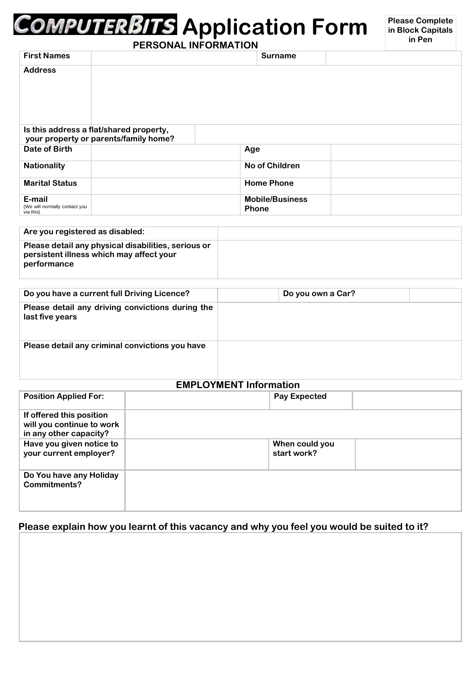# **Application Form**

| PERSONAL INFORMATION                                 |                                                                                  |                                        |  |
|------------------------------------------------------|----------------------------------------------------------------------------------|----------------------------------------|--|
| <b>First Names</b>                                   |                                                                                  | <b>Surname</b>                         |  |
| <b>Address</b>                                       |                                                                                  |                                        |  |
|                                                      | Is this address a flat/shared property,<br>your property or parents/family home? |                                        |  |
| Date of Birth                                        |                                                                                  | Age                                    |  |
| <b>Nationality</b>                                   |                                                                                  | No of Children                         |  |
| <b>Marital Status</b>                                |                                                                                  | <b>Home Phone</b>                      |  |
| E-mail<br>(We will normally contact you<br>via this) |                                                                                  | <b>Mobile/Business</b><br><b>Phone</b> |  |

| Are you registered as disabled:                                                                                |  |
|----------------------------------------------------------------------------------------------------------------|--|
| Please detail any physical disabilities, serious or<br>persistent illness which may affect your<br>performance |  |

| Do you have a current full Driving Licence?                         | Do you own a Car? |  |
|---------------------------------------------------------------------|-------------------|--|
| Please detail any driving convictions during the<br>last five years |                   |  |
| Please detail any criminal convictions you have                     |                   |  |

### **EMPLOYMENT Information**

| <b>Position Applied For:</b>                                                    |  | <b>Pay Expected</b>           |  |  |
|---------------------------------------------------------------------------------|--|-------------------------------|--|--|
| If offered this position<br>will you continue to work<br>in any other capacity? |  |                               |  |  |
| Have you given notice to<br>your current employer?                              |  | When could you<br>start work? |  |  |
| Do You have any Holiday<br>Commitments?                                         |  |                               |  |  |

# **Please explain how you learnt of this vacancy and why you feel you would be suited to it?**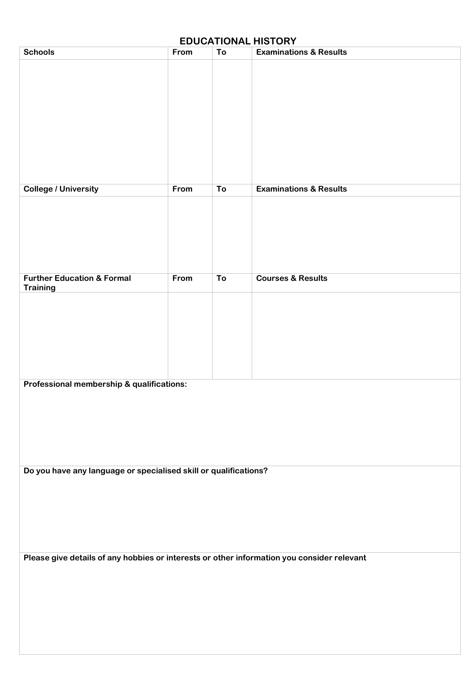| <b>EDUCATIONAL HISTORY</b>                                                                 |      |    |                                   |  |
|--------------------------------------------------------------------------------------------|------|----|-----------------------------------|--|
| <b>Schools</b>                                                                             | From | To | <b>Examinations &amp; Results</b> |  |
|                                                                                            |      |    |                                   |  |
|                                                                                            |      |    | <b>Examinations &amp; Results</b> |  |
| <b>College / University</b>                                                                | From | To |                                   |  |
|                                                                                            |      |    |                                   |  |
| <b>Further Education &amp; Formal</b><br><b>Training</b>                                   | From | To | <b>Courses &amp; Results</b>      |  |
|                                                                                            |      |    |                                   |  |
| Professional membership & qualifications:                                                  |      |    |                                   |  |
| Do you have any language or specialised skill or qualifications?                           |      |    |                                   |  |
| Please give details of any hobbies or interests or other information you consider relevant |      |    |                                   |  |